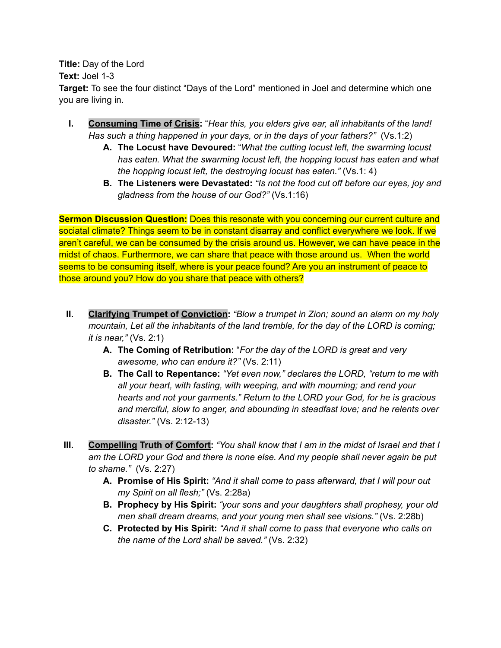**Title:** Day of the Lord **Text:** Joel 1-3

**Target:** To see the four distinct "Days of the Lord" mentioned in Joel and determine which one you are living in.

- **I. Consuming Time of Crisis:** "*Hear this, you elders give ear, all inhabitants of the land! Has such a thing happened in your days, or in the days of your fathers?"* (Vs.1:2)
	- **A. The Locust have Devoured:** "*What the cutting locust left, the swarming locust has eaten. What the swarming locust left, the hopping locust has eaten and what the hopping locust left, the destroying locust has eaten."* (Vs.1: 4)
	- **B. The Listeners were Devastated:** *"Is not the food cut off before our eyes, joy and gladness from the house of our God?"* (Vs.1:16)

**Sermon Discussion Question:** Does this resonate with you concerning our current culture and sociatal climate? Things seem to be in constant disarray and conflict everywhere we look. If we aren't careful, we can be consumed by the crisis around us. However, we can have peace in the midst of chaos. Furthermore, we can share that peace with those around us. When the world seems to be consuming itself, where is your peace found? Are you an instrument of peace to those around you? How do you share that peace with others?

- **II. Clarifying Trumpet of Conviction:** *"Blow a trumpet in Zion; sound an alarm on my holy mountain, Let all the inhabitants of the land tremble, for the day of the LORD is coming; it is near,"* (Vs. 2:1)
	- **A. The Coming of Retribution:** "*For the day of the LORD is great and very awesome, who can endure it?"* (Vs. 2:11)
	- **B. The Call to Repentance:** *"Yet even now," declares the LORD, "return to me with all your heart, with fasting, with weeping, and with mourning; and rend your hearts and not your garments." Return to the LORD your God, for he is gracious and merciful, slow to anger, and abounding in steadfast love; and he relents over disaster."* (Vs. 2:12-13)
- III. Compelling Truth of Comfort: "You shall know that I am in the midst of Israel and that I *am the LORD your God and there is none else. And my people shall never again be put to shame."* (Vs. 2:27)
	- **A. Promise of His Spirit:** *"And it shall come to pass afterward, that I will pour out my Spirit on all flesh;"* (Vs. 2:28a)
	- **B. Prophecy by His Spirit:** *"your sons and your daughters shall prophesy, your old men shall dream dreams, and your young men shall see visions."* (Vs. 2:28b)
	- **C. Protected by His Spirit:** *"And it shall come to pass that everyone who calls on the name of the Lord shall be saved."* (Vs. 2:32)